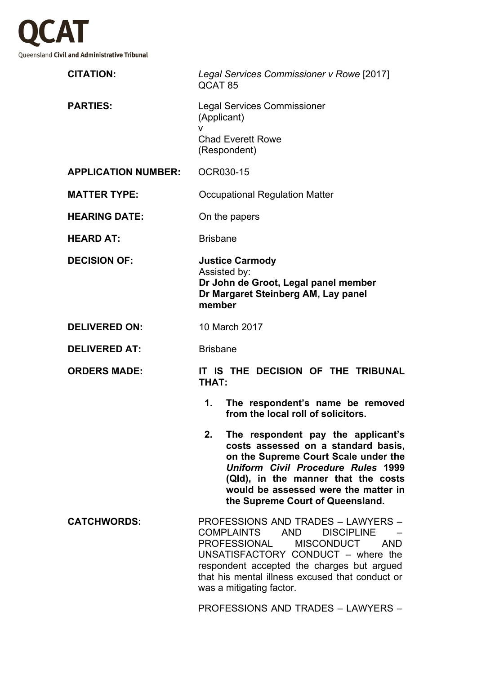

| <b>CITATION:</b>           | Legal Services Commissioner v Rowe [2017]<br>QCAT <sub>85</sub>                                                                                                                                                                                                                                                         |
|----------------------------|-------------------------------------------------------------------------------------------------------------------------------------------------------------------------------------------------------------------------------------------------------------------------------------------------------------------------|
| <b>PARTIES:</b>            | <b>Legal Services Commissioner</b><br>(Applicant)<br>v<br><b>Chad Everett Rowe</b>                                                                                                                                                                                                                                      |
|                            | (Respondent)                                                                                                                                                                                                                                                                                                            |
| <b>APPLICATION NUMBER:</b> | <b>OCR030-15</b>                                                                                                                                                                                                                                                                                                        |
| <b>MATTER TYPE:</b>        | Occupational Regulation Matter                                                                                                                                                                                                                                                                                          |
| <b>HEARING DATE:</b>       | On the papers                                                                                                                                                                                                                                                                                                           |
| <b>HEARD AT:</b>           | <b>Brisbane</b>                                                                                                                                                                                                                                                                                                         |
| <b>DECISION OF:</b>        | <b>Justice Carmody</b><br>Assisted by:<br>Dr John de Groot, Legal panel member<br>Dr Margaret Steinberg AM, Lay panel<br>member                                                                                                                                                                                         |
| <b>DELIVERED ON:</b>       | 10 March 2017                                                                                                                                                                                                                                                                                                           |
| <b>DELIVERED AT:</b>       | <b>Brisbane</b>                                                                                                                                                                                                                                                                                                         |
| <b>ORDERS MADE:</b>        | IT IS THE DECISION OF THE TRIBUNAL<br><b>THAT:</b>                                                                                                                                                                                                                                                                      |
|                            | 1.<br>The respondent's name be removed<br>from the local roll of solicitors.                                                                                                                                                                                                                                            |
|                            | 2.<br>The respondent pay the applicant's<br>costs assessed on a standard basis,<br>on the Supreme Court Scale under the<br>Uniform Civil Procedure Rules 1999<br>(QId), in the manner that the costs<br>would be assessed were the matter in<br>the Supreme Court of Queensland.                                        |
| <b>CATCHWORDS:</b>         | <b>PROFESSIONS AND TRADES - LAWYERS -</b><br><b>COMPLAINTS</b><br><b>AND</b><br><b>DISCIPLINE</b><br><b>MISCONDUCT</b><br>PROFESSIONAL<br><b>AND</b><br>UNSATISFACTORY CONDUCT - where the<br>respondent accepted the charges but argued<br>that his mental illness excused that conduct or<br>was a mitigating factor. |
|                            | <b>PROFESSIONS AND TRADES - LAWYERS -</b>                                                                                                                                                                                                                                                                               |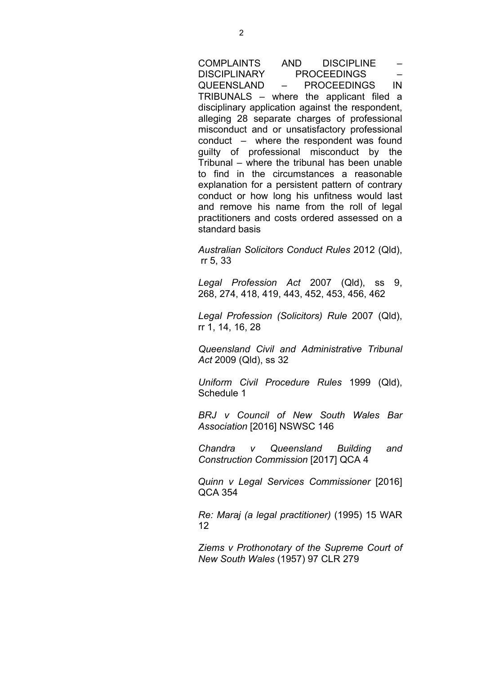COMPLAINTS AND DISCIPLINE – DISCIPLINARY PROCEEDINGS – QUEENSLAND – PROCEEDINGS IN TRIBUNALS – where the applicant filed a disciplinary application against the respondent, alleging 28 separate charges of professional misconduct and or unsatisfactory professional conduct – where the respondent was found guilty of professional misconduct by the Tribunal – where the tribunal has been unable to find in the circumstances a reasonable explanation for a persistent pattern of contrary conduct or how long his unfitness would last and remove his name from the roll of legal practitioners and costs ordered assessed on a standard basis

*Australian Solicitors Conduct Rules* 2012 (Qld), rr 5, 33

*Legal Profession Act* 2007 (Qld), ss 9, 268, 274, 418, 419, 443, 452, 453, 456, 462

*Legal Profession (Solicitors) Rule* 2007 (Qld), rr 1, 14, 16, 28

*Queensland Civil and Administrative Tribunal Act* 2009 (Qld), ss 32

*Uniform Civil Procedure Rules* 1999 (Qld), Schedule 1

*BRJ v Council of New South Wales Bar Association* [2016] NSWSC 146

*Chandra v Queensland Building and Construction Commission* [2017] QCA 4

*Quinn v Legal Services Commissioner* [2016] QCA 354

*Re: Maraj (a legal practitioner)* (1995) 15 WAR 12

*Ziems v Prothonotary of the Supreme Court of New South Wales* (1957) 97 CLR 279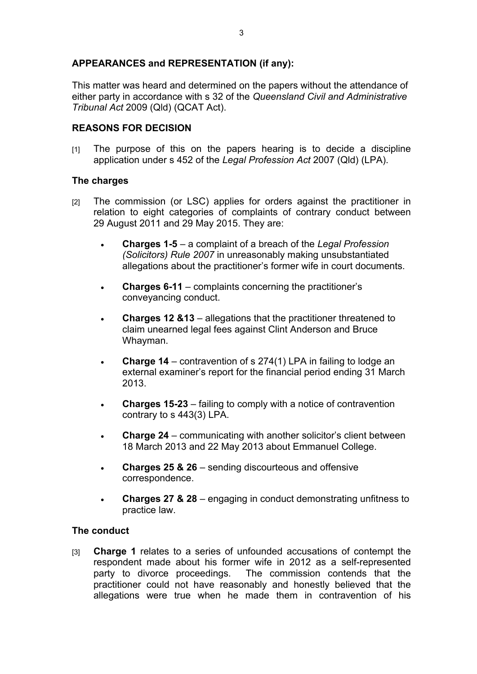## **APPEARANCES and REPRESENTATION (if any):**

This matter was heard and determined on the papers without the attendance of either party in accordance with s 32 of the *Queensland Civil and Administrative Tribunal Act* 2009 (Qld) (QCAT Act).

## **REASONS FOR DECISION**

[1] The purpose of this on the papers hearing is to decide a discipline application under s 452 of the *Legal Profession Act* 2007 (Qld) (LPA).

## **The charges**

- [2] The commission (or LSC) applies for orders against the practitioner in relation to eight categories of complaints of contrary conduct between 29 August 2011 and 29 May 2015. They are:
	- **Charges 1-5** a complaint of a breach of the *Legal Profession (Solicitors) Rule 2007* in unreasonably making unsubstantiated allegations about the practitioner's former wife in court documents.
	- **Charges 6-11** complaints concerning the practitioner's conveyancing conduct.
	- **Charges 12 &13**  allegations that the practitioner threatened to claim unearned legal fees against Clint Anderson and Bruce Whayman.
	- **Charge 14**  contravention of s 274(1) LPA in failing to lodge an external examiner's report for the financial period ending 31 March 2013.
	- **Charges 15-23**  failing to comply with a notice of contravention contrary to s 443(3) LPA.
	- **Charge 24** communicating with another solicitor's client between 18 March 2013 and 22 May 2013 about Emmanuel College.
	- **Charges 25 & 26** sending discourteous and offensive correspondence.
	- **Charges 27 & 28** engaging in conduct demonstrating unfitness to practice law.

## **The conduct**

[3] **Charge 1** relates to a series of unfounded accusations of contempt the respondent made about his former wife in 2012 as a self-represented party to divorce proceedings. The commission contends that the practitioner could not have reasonably and honestly believed that the allegations were true when he made them in contravention of his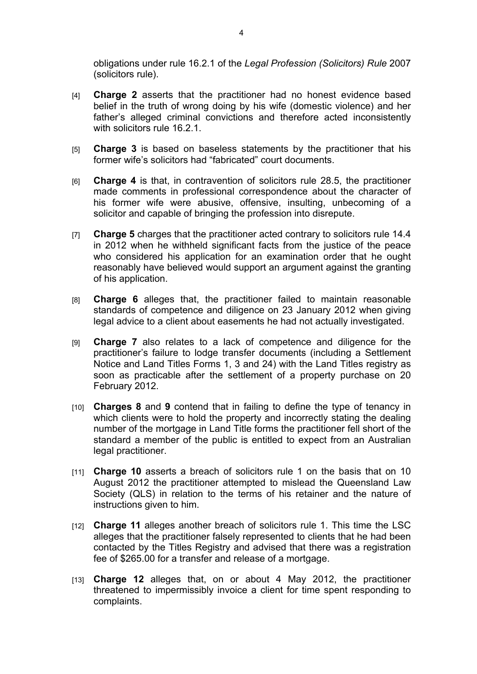obligations under rule 16.2.1 of the *Legal Profession (Solicitors) Rule* 2007 (solicitors rule).

- [4] **Charge 2** asserts that the practitioner had no honest evidence based belief in the truth of wrong doing by his wife (domestic violence) and her father's alleged criminal convictions and therefore acted inconsistently with solicitors rule 16.2.1.
- [5] **Charge 3** is based on baseless statements by the practitioner that his former wife's solicitors had "fabricated" court documents.
- [6] **Charge 4** is that, in contravention of solicitors rule 28.5, the practitioner made comments in professional correspondence about the character of his former wife were abusive, offensive, insulting, unbecoming of a solicitor and capable of bringing the profession into disrepute.
- [7] **Charge 5** charges that the practitioner acted contrary to solicitors rule 14.4 in 2012 when he withheld significant facts from the justice of the peace who considered his application for an examination order that he ought reasonably have believed would support an argument against the granting of his application.
- [8] **Charge 6** alleges that, the practitioner failed to maintain reasonable standards of competence and diligence on 23 January 2012 when giving legal advice to a client about easements he had not actually investigated.
- [9] **Charge 7** also relates to a lack of competence and diligence for the practitioner's failure to lodge transfer documents (including a Settlement Notice and Land Titles Forms 1, 3 and 24) with the Land Titles registry as soon as practicable after the settlement of a property purchase on 20 February 2012.
- [10] **Charges 8** and **9** contend that in failing to define the type of tenancy in which clients were to hold the property and incorrectly stating the dealing number of the mortgage in Land Title forms the practitioner fell short of the standard a member of the public is entitled to expect from an Australian legal practitioner.
- [11] **Charge 10** asserts a breach of solicitors rule 1 on the basis that on 10 August 2012 the practitioner attempted to mislead the Queensland Law Society (QLS) in relation to the terms of his retainer and the nature of instructions given to him.
- [12] **Charge 11** alleges another breach of solicitors rule 1. This time the LSC alleges that the practitioner falsely represented to clients that he had been contacted by the Titles Registry and advised that there was a registration fee of \$265.00 for a transfer and release of a mortgage.
- [13] **Charge 12** alleges that, on or about 4 May 2012, the practitioner threatened to impermissibly invoice a client for time spent responding to complaints.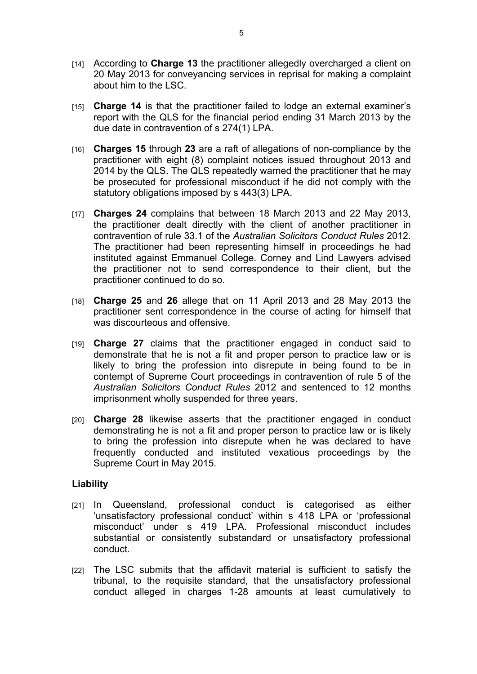- [14] According to **Charge 13** the practitioner allegedly overcharged a client on 20 May 2013 for conveyancing services in reprisal for making a complaint about him to the LSC.
- [15] **Charge 14** is that the practitioner failed to lodge an external examiner's report with the QLS for the financial period ending 31 March 2013 by the due date in contravention of s 274(1) LPA.
- [16] **Charges 15** through **23** are a raft of allegations of non-compliance by the practitioner with eight (8) complaint notices issued throughout 2013 and 2014 by the QLS. The QLS repeatedly warned the practitioner that he may be prosecuted for professional misconduct if he did not comply with the statutory obligations imposed by s 443(3) LPA.
- [17] **Charges 24** complains that between 18 March 2013 and 22 May 2013, the practitioner dealt directly with the client of another practitioner in contravention of rule 33.1 of the *Australian Solicitors Conduct Rules* 2012. The practitioner had been representing himself in proceedings he had instituted against Emmanuel College. Corney and Lind Lawyers advised the practitioner not to send correspondence to their client, but the practitioner continued to do so.
- [18] **Charge 25** and **26** allege that on 11 April 2013 and 28 May 2013 the practitioner sent correspondence in the course of acting for himself that was discourteous and offensive.
- [19] **Charge 27** claims that the practitioner engaged in conduct said to demonstrate that he is not a fit and proper person to practice law or is likely to bring the profession into disrepute in being found to be in contempt of Supreme Court proceedings in contravention of rule 5 of the *Australian Solicitors Conduct Rules* 2012 and sentenced to 12 months imprisonment wholly suspended for three years.
- [20] **Charge 28** likewise asserts that the practitioner engaged in conduct demonstrating he is not a fit and proper person to practice law or is likely to bring the profession into disrepute when he was declared to have frequently conducted and instituted vexatious proceedings by the Supreme Court in May 2015.

#### **Liability**

- [21] In Queensland, professional conduct is categorised as either 'unsatisfactory professional conduct' within s 418 LPA or 'professional misconduct' under s 419 LPA. Professional misconduct includes substantial or consistently substandard or unsatisfactory professional conduct.
- [22] The LSC submits that the affidavit material is sufficient to satisfy the tribunal, to the requisite standard, that the unsatisfactory professional conduct alleged in charges 1-28 amounts at least cumulatively to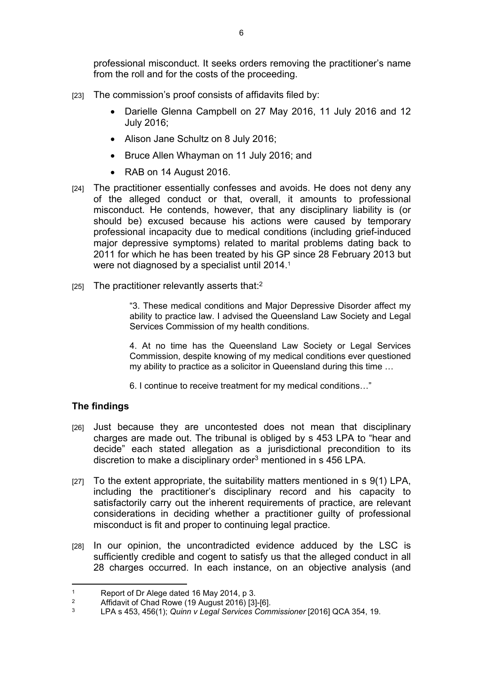professional misconduct. It seeks orders removing the practitioner's name from the roll and for the costs of the proceeding.

- [23] The commission's proof consists of affidavits filed by:
	- Darielle Glenna Campbell on 27 May 2016, 11 July 2016 and 12 July 2016;
	- Alison Jane Schultz on 8 July 2016:
	- Bruce Allen Whayman on 11 July 2016; and
	- RAB on 14 August 2016.
- [24] The practitioner essentially confesses and avoids. He does not deny any of the alleged conduct or that, overall, it amounts to professional misconduct. He contends, however, that any disciplinary liability is (or should be) excused because his actions were caused by temporary professional incapacity due to medical conditions (including grief-induced major depressive symptoms) related to marital problems dating back to 2011 for which he has been treated by his GP since 28 February 2013 but were not diagnosed by a specialist until 2014.<sup>1</sup>
- $[25]$  The practitioner relevantly asserts that:<sup>2</sup>

"3. These medical conditions and Major Depressive Disorder affect my ability to practice law. I advised the Queensland Law Society and Legal Services Commission of my health conditions.

4. At no time has the Queensland Law Society or Legal Services Commission, despite knowing of my medical conditions ever questioned my ability to practice as a solicitor in Queensland during this time …

6. I continue to receive treatment for my medical conditions…"

## **The findings**

- [26] Just because they are uncontested does not mean that disciplinary charges are made out. The tribunal is obliged by s 453 LPA to "hear and decide" each stated allegation as a jurisdictional precondition to its discretion to make a disciplinary order<sup>3</sup> mentioned in s 456 LPA.
- [27] To the extent appropriate, the suitability matters mentioned in  $s \theta(1)$  LPA, including the practitioner's disciplinary record and his capacity to satisfactorily carry out the inherent requirements of practice, are relevant considerations in deciding whether a practitioner guilty of professional misconduct is fit and proper to continuing legal practice.
- [28] In our opinion, the uncontradicted evidence adduced by the LSC is sufficiently credible and cogent to satisfy us that the alleged conduct in all 28 charges occurred. In each instance, on an objective analysis (and

<sup>1</sup> Report of Dr Alege dated 16 May 2014, p 3.

<sup>2</sup> Affidavit of Chad Rowe (19 August 2016) [3]-[6].

<sup>3</sup> LPA s 453, 456(1); *Quinn v Legal Services Commissioner* [2016] QCA 354, 19.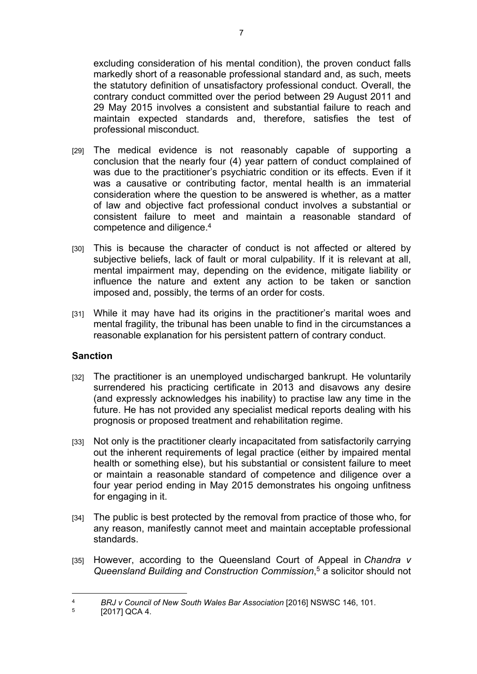excluding consideration of his mental condition), the proven conduct falls markedly short of a reasonable professional standard and, as such, meets the statutory definition of unsatisfactory professional conduct. Overall, the contrary conduct committed over the period between 29 August 2011 and 29 May 2015 involves a consistent and substantial failure to reach and maintain expected standards and, therefore, satisfies the test of professional misconduct.

- [29] The medical evidence is not reasonably capable of supporting a conclusion that the nearly four (4) year pattern of conduct complained of was due to the practitioner's psychiatric condition or its effects. Even if it was a causative or contributing factor, mental health is an immaterial consideration where the question to be answered is whether, as a matter of law and objective fact professional conduct involves a substantial or consistent failure to meet and maintain a reasonable standard of competence and diligence.<sup>4</sup>
- [30] This is because the character of conduct is not affected or altered by subjective beliefs, lack of fault or moral culpability. If it is relevant at all, mental impairment may, depending on the evidence, mitigate liability or influence the nature and extent any action to be taken or sanction imposed and, possibly, the terms of an order for costs.
- [31] While it may have had its origins in the practitioner's marital woes and mental fragility, the tribunal has been unable to find in the circumstances a reasonable explanation for his persistent pattern of contrary conduct.

## **Sanction**

- [32] The practitioner is an unemployed undischarged bankrupt. He voluntarily surrendered his practicing certificate in 2013 and disavows any desire (and expressly acknowledges his inability) to practise law any time in the future. He has not provided any specialist medical reports dealing with his prognosis or proposed treatment and rehabilitation regime.
- [33] Not only is the practitioner clearly incapacitated from satisfactorily carrying out the inherent requirements of legal practice (either by impaired mental health or something else), but his substantial or consistent failure to meet or maintain a reasonable standard of competence and diligence over a four year period ending in May 2015 demonstrates his ongoing unfitness for engaging in it.
- [34] The public is best protected by the removal from practice of those who, for any reason, manifestly cannot meet and maintain acceptable professional standards.
- [35] However, according to the Queensland Court of Appeal in *Chandra v Queensland Building and Construction Commission*, 5 a solicitor should not

<sup>4</sup> *BRJ v Council of New South Wales Bar Association* [2016] NSWSC 146, 101.

<sup>5</sup> [2017] QCA 4.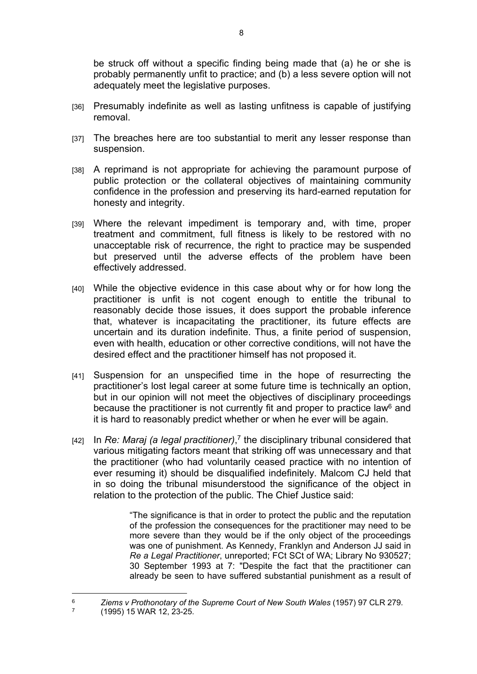be struck off without a specific finding being made that (a) he or she is probably permanently unfit to practice; and (b) a less severe option will not adequately meet the legislative purposes.

- [36] Presumably indefinite as well as lasting unfitness is capable of justifying removal.
- [37] The breaches here are too substantial to merit any lesser response than suspension.
- [38] A reprimand is not appropriate for achieving the paramount purpose of public protection or the collateral objectives of maintaining community confidence in the profession and preserving its hard-earned reputation for honesty and integrity.
- [39] Where the relevant impediment is temporary and, with time, proper treatment and commitment, full fitness is likely to be restored with no unacceptable risk of recurrence, the right to practice may be suspended but preserved until the adverse effects of the problem have been effectively addressed.
- [40] While the objective evidence in this case about why or for how long the practitioner is unfit is not cogent enough to entitle the tribunal to reasonably decide those issues, it does support the probable inference that, whatever is incapacitating the practitioner, its future effects are uncertain and its duration indefinite. Thus, a finite period of suspension, even with health, education or other corrective conditions, will not have the desired effect and the practitioner himself has not proposed it.
- [41] Suspension for an unspecified time in the hope of resurrecting the practitioner's lost legal career at some future time is technically an option, but in our opinion will not meet the objectives of disciplinary proceedings because the practitioner is not currently fit and proper to practice law<sup>6</sup> and it is hard to reasonably predict whether or when he ever will be again.
- [42] In *Re: Maraj (a legal practitioner)*, 7 the disciplinary tribunal considered that various mitigating factors meant that striking off was unnecessary and that the practitioner (who had voluntarily ceased practice with no intention of ever resuming it) should be disqualified indefinitely. Malcom CJ held that in so doing the tribunal misunderstood the significance of the object in relation to the protection of the public. The Chief Justice said:

"The significance is that in order to protect the public and the reputation of the profession the consequences for the practitioner may need to be more severe than they would be if the only object of the proceedings was one of punishment. As Kennedy, Franklyn and Anderson JJ said in *Re a Legal Practitioner*, unreported; FCt SCt of WA; Library No 930527; 30 September 1993 at 7: "Despite the fact that the practitioner can already be seen to have suffered substantial punishment as a result of

<sup>6</sup> *Ziems v Prothonotary of the Supreme Court of New South Wales* (1957) 97 CLR 279.

<sup>7</sup> (1995) 15 WAR 12, 23-25.